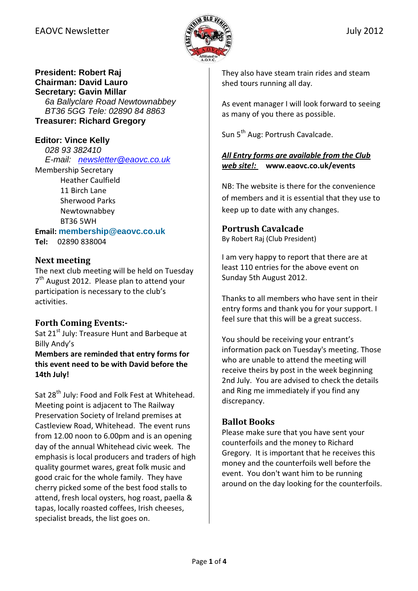

## **President: Robert Raj Chairman: David Lauro Secretary: Gavin Millar**

6a Ballyclare Road Newtownabbey BT36 5GG Tele: 02890 84 8863 **Treasurer: Richard Gregory** 

**Editor: Vince Kelly**  028 93 382410 E-mail: newsletter@eaovc.co.uk

Membership Secretary Heather Caulfield 11 Birch Lane Sherwood Parks Newtownabbey BT36 5WH

Email: **membership@eaovc.co.uk**

Tel: 02890 838004

#### Next meeting

The next club meeting will be held on Tuesday 7<sup>th</sup> August 2012. Please plan to attend your participation is necessary to the club's activities.

## Forth Coming Events:-

Sat 21<sup>st</sup> July: Treasure Hunt and Barbeque at Billy Andy's

Members are reminded that entry forms for this event need to be with David before the 14th July!

Sat 28<sup>th</sup> July: Food and Folk Fest at Whitehead. Meeting point is adjacent to The Railway Preservation Society of Ireland premises at Castleview Road, Whitehead. The event runs from 12.00 noon to 6.00pm and is an opening day of the annual Whitehead civic week. The emphasis is local producers and traders of high quality gourmet wares, great folk music and good craic for the whole family. They have cherry picked some of the best food stalls to attend, fresh local oysters, hog roast, paella & tapas, locally roasted coffees, Irish cheeses, specialist breads, the list goes on.

They also have steam train rides and steam shed tours running all day.

As event manager I will look forward to seeing as many of you there as possible.

Sun 5<sup>th</sup> Aug: Portrush Cavalcade.

#### All Entry forms are available from the Club web site!: www.eaovc.co.uk/events

NB: The website is there for the convenience of members and it is essential that they use to keep up to date with any changes.

## Portrush Cavalcade

By Robert Raj (Club President)

I am very happy to report that there are at least 110 entries for the above event on Sunday 5th August 2012.

Thanks to all members who have sent in their entry forms and thank you for your support. I feel sure that this will be a great success.

You should be receiving your entrant's information pack on Tuesday's meeting. Those who are unable to attend the meeting will receive theirs by post in the week beginning 2nd July. You are advised to check the details and Ring me immediately if you find any discrepancy.

## Ballot Books

Please make sure that you have sent your counterfoils and the money to Richard Gregory. It is important that he receives this money and the counterfoils well before the event. You don't want him to be running around on the day looking for the counterfoils.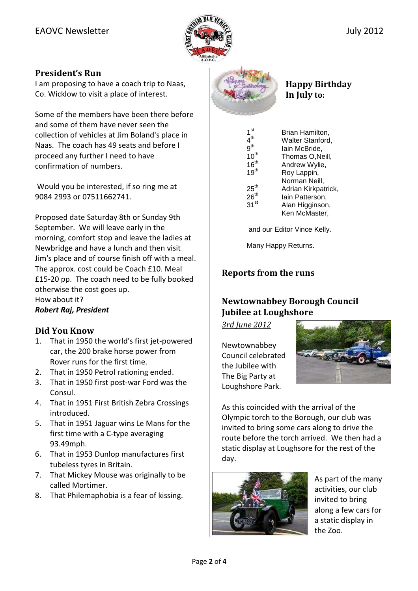

#### President's Run

I am proposing to have a coach trip to Naas, Co. Wicklow to visit a place of interest.

Some of the members have been there before and some of them have never seen the collection of vehicles at Jim Boland's place in Naas. The coach has 49 seats and before I proceed any further I need to have confirmation of numbers.

 Would you be interested, if so ring me at 9084 2993 or 07511662741.

Proposed date Saturday 8th or Sunday 9th September. We will leave early in the morning, comfort stop and leave the ladies at Newbridge and have a lunch and then visit Jim's place and of course finish off with a meal. The approx. cost could be Coach £10. Meal £15-20 pp. The coach need to be fully booked otherwise the cost goes up. How about it? Robert Raj, President

#### Did You Know

- 1. That in 1950 the world's first jet-powered car, the 200 brake horse power from Rover runs for the first time.
- 2. That in 1950 Petrol rationing ended.
- 3. That in 1950 first post-war Ford was the Consul.
- 4. That in 1951 First British Zebra Crossings introduced.
- 5. That in 1951 Jaguar wins Le Mans for the first time with a C-type averaging 93.49mph.
- 6. That in 1953 Dunlop manufactures first tubeless tyres in Britain.
- 7. That Mickey Mouse was originally to be called Mortimer.
- 8. That Philemaphobia is a fear of kissing.



Happy Birthday In July to:

| 1 <sup>st</sup>  | Brian Hamilton,     |
|------------------|---------------------|
| $4^{\sf th}$     | Walter Stanford,    |
| 9 <sup>th</sup>  | lain McBride,       |
| $10^{th}$        | Thomas O, Neill,    |
| 16 <sup>th</sup> | Andrew Wylie,       |
| 19 <sup>th</sup> | Roy Lappin,         |
|                  | Norman Neill,       |
| $25^{\sf th}$    | Adrian Kirkpatrick, |
| $26^{\sf th}$    | lain Patterson,     |
| $31^{\rm st}$    | Alan Higginson,     |
|                  | Ken McMaster,       |

and our Editor Vince Kelly.

Many Happy Returns.

## Reports from the runs

## Newtownabbey Borough Council Jubilee at Loughshore

3rd June 2012

Newtownabbey Council celebrated the Jubilee with The Big Party at Loughshore Park.



As this coincided with the arrival of the Olympic torch to the Borough, our club was invited to bring some cars along to drive the route before the torch arrived. We then had a static display at Loughsore for the rest of the day.



As part of the many activities, our club invited to bring along a few cars for a static display in the Zoo.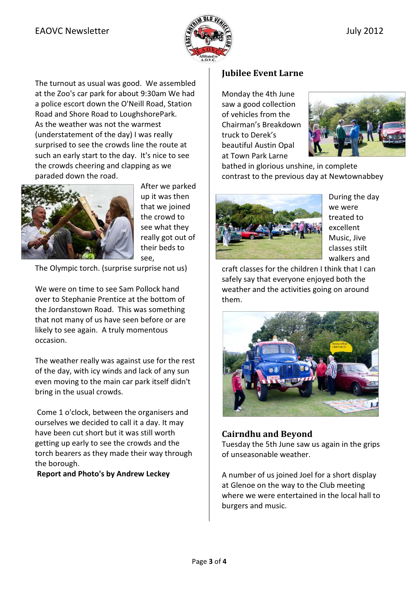The turnout as usual was good. We assembled at the Zoo's car park for about 9:30am We had a police escort down the O'Neill Road, Station Road and Shore Road to LoughshorePark. As the weather was not the warmest (understatement of the day) I was really surprised to see the crowds line the route at such an early start to the day. It's nice to see the crowds cheering and clapping as we paraded down the road.



After we parked up it was then that we joined the crowd to see what they really got out of their beds to see,

The Olympic torch. (surprise surprise not us)

We were on time to see Sam Pollock hand over to Stephanie Prentice at the bottom of the Jordanstown Road. This was something that not many of us have seen before or are likely to see again. A truly momentous occasion.

The weather really was against use for the rest of the day, with icy winds and lack of any sun even moving to the main car park itself didn't bring in the usual crowds.

 Come 1 o'clock, between the organisers and ourselves we decided to call it a day. It may have been cut short but it was still worth getting up early to see the crowds and the torch bearers as they made their way through the borough.

Report and Photo's by Andrew Leckey

## Jubilee Event Larne

Monday the 4th June saw a good collection of vehicles from the Chairman's Breakdown truck to Derek's beautiful Austin Opal at Town Park Larne



bathed in glorious unshine, in complete contrast to the previous day at Newtownabbey



During the day we were treated to excellent Music, Jive classes stilt walkers and

craft classes for the children I think that I can safely say that everyone enjoyed both the weather and the activities going on around them.



# Cairndhu and Beyond

Tuesday the 5th June saw us again in the grips of unseasonable weather.

A number of us joined Joel for a short display at Glenoe on the way to the Club meeting where we were entertained in the local hall to burgers and music.